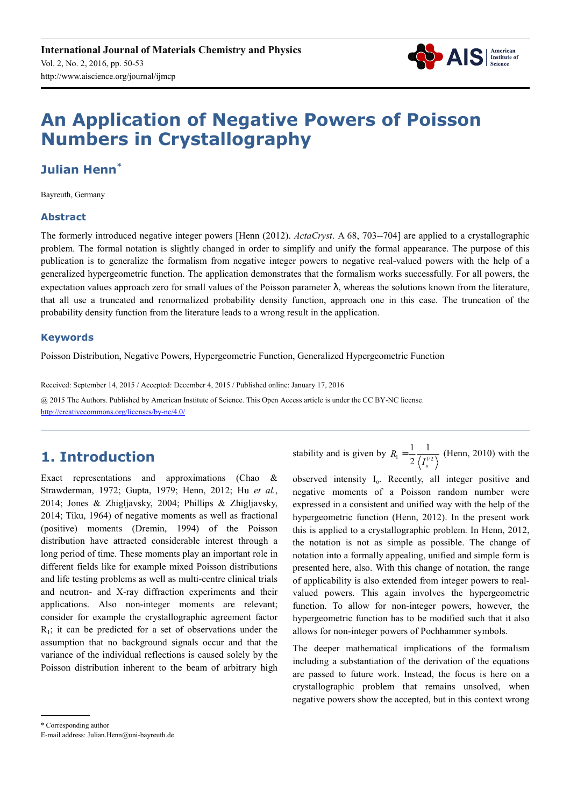

# **An Application of Negative Powers of Poisson Numbers in Crystallography**

# **Julian Henn\***

Bayreuth, Germany

#### **Abstract**

The formerly introduced negative integer powers [Henn (2012). *ActaCryst*. A 68, 703--704] are applied to a crystallographic problem. The formal notation is slightly changed in order to simplify and unify the formal appearance. The purpose of this publication is to generalize the formalism from negative integer powers to negative real-valued powers with the help of a generalized hypergeometric function. The application demonstrates that the formalism works successfully. For all powers, the expectation values approach zero for small values of the Poisson parameter  $\lambda$ , whereas the solutions known from the literature, that all use a truncated and renormalized probability density function, approach one in this case. The truncation of the probability density function from the literature leads to a wrong result in the application.

#### **Keywords**

Poisson Distribution, Negative Powers, Hypergeometric Function, Generalized Hypergeometric Function

Received: September 14, 2015 / Accepted: December 4, 2015 / Published online: January 17, 2016 @ 2015 The Authors. Published by American Institute of Science. This Open Access article is under the CC BY-NC license. http://creativecommons.org/licenses/by-nc/4.0/

# **1. Introduction**

Exact representations and approximations (Chao & Strawderman, 1972; Gupta, 1979; Henn, 2012; Hu *et al.*, 2014; Jones & Zhigljavsky, 2004; Phillips & Zhigljavsky, 2014; Tiku, 1964) of negative moments as well as fractional (positive) moments (Dremin, 1994) of the Poisson distribution have attracted considerable interest through a long period of time. These moments play an important role in different fields like for example mixed Poisson distributions and life testing problems as well as multi-centre clinical trials and neutron- and X-ray diffraction experiments and their applications. Also non-integer moments are relevant; consider for example the crystallographic agreement factor  $R<sub>1</sub>$ ; it can be predicted for a set of observations under the assumption that no background signals occur and that the variance of the individual reflections is caused solely by the Poisson distribution inherent to the beam of arbitrary high stability and is given by  $R_1 = \frac{1}{2} \frac{1}{\sqrt{1^{1/2}}}$  $R_1 = \frac{1}{2} \frac{1}{\sqrt{I_o^1}}$ *I*  $=\frac{1}{2} \frac{1}{(1.10)}$  (Henn, 2010) with the

observed intensity I<sub>0</sub>. Recently, all integer positive and negative moments of a Poisson random number were expressed in a consistent and unified way with the help of the hypergeometric function (Henn, 2012). In the present work this is applied to a crystallographic problem. In Henn, 2012, the notation is not as simple as possible. The change of notation into a formally appealing, unified and simple form is presented here, also. With this change of notation, the range of applicability is also extended from integer powers to realvalued powers. This again involves the hypergeometric function. To allow for non-integer powers, however, the hypergeometric function has to be modified such that it also allows for non-integer powers of Pochhammer symbols.

The deeper mathematical implications of the formalism including a substantiation of the derivation of the equations are passed to future work. Instead, the focus is here on a crystallographic problem that remains unsolved, when negative powers show the accepted, but in this context wrong

<sup>\*</sup> Corresponding author

E-mail address: Julian.Henn@uni-bayreuth.de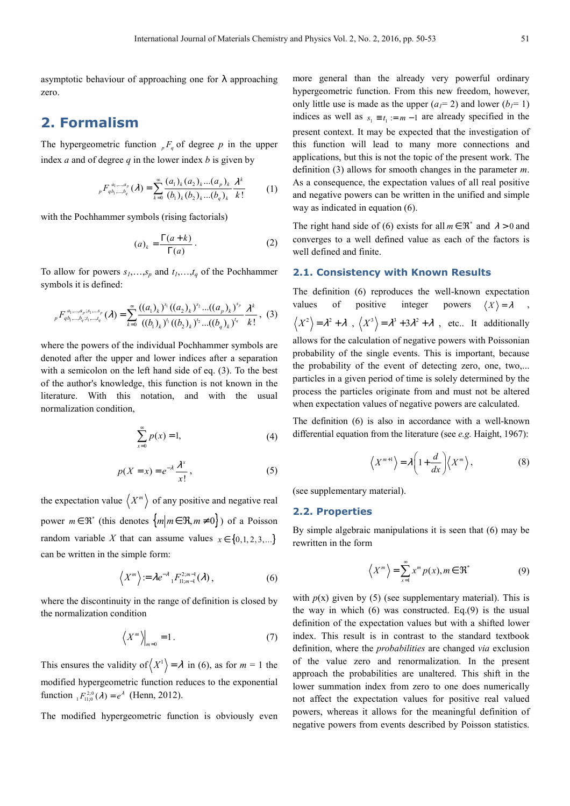asymptotic behaviour of approaching one for λ approaching zero.

# **2. Formalism**

The hypergeometric function  ${}_{p}F_{q}$  of degree p in the upper index *a* and of degree *q* in the lower index *b* is given by

$$
{}_{p}F_{q_{b_{1},...,b_{q}}}^{a_{1},...,a_{p}}(\lambda) = \sum_{k=0}^{\infty} \frac{(a_{1})_{k}(a_{2})_{k}...(a_{p})_{k}}{(b_{1})_{k}(b_{2})_{k}...(b_{q})_{k}} \frac{\lambda^{k}}{k!}
$$
 (1)

with the Pochhammer symbols (rising factorials)

$$
(a)_k = \frac{\Gamma(a+k)}{\Gamma(a)}.
$$
 (2)

To allow for powers  $s_1, \ldots, s_p$  and  $t_1, \ldots, t_q$  of the Pochhammer symbols it is defined:

$$
{}_{p}F_{q\,b_{1},...,b_{q};i_{1},...,i_{q}}^{a_{1},...,a_{p};s_{1},...,s_{p}}(\lambda) = \sum_{k=0}^{\infty} \frac{((a_{1})_{k})^{s_{1}}((a_{2})_{k})^{s_{2}}...(a_{p})_{k})^{s_{p}}}{((b_{1})_{k})^{i_{1}}((b_{2})_{k})^{i_{2}}...(b_{q})_{k})^{i_{q}}}\frac{\lambda^{k}}{k!}, (3)
$$

where the powers of the individual Pochhammer symbols are denoted after the upper and lower indices after a separation with a semicolon on the left hand side of eq. (3). To the best of the author's knowledge, this function is not known in the literature. With this notation, and with the usual normalization condition,

$$
\sum_{x=0}^{\infty} p(x) = 1,
$$
 (4)

$$
p(X = x) = e^{-\lambda} \frac{\lambda^x}{x!},
$$
 (5)

the expectation value  $\langle X^m \rangle$  of any positive and negative real power  $m \in \mathfrak{R}^*$  (this denotes  $\{m | m \in \mathfrak{R}, m \neq 0\}$ ) of a Poisson random variable *X* that can assume values  $x \in \{0, 1, 2, 3, ...\}$ can be written in the simple form:

$$
\left\langle X^m\right\rangle = \lambda e^{-\lambda} {}_1F^{2,m-1}_{11,m-1}(\lambda)\,,\tag{6}
$$

where the discontinuity in the range of definition is closed by the normalization condition

$$
\left\langle X^m \right\rangle \Big|_{m=0} = 1. \tag{7}
$$

This ensures the validity of  $\langle X^1 \rangle = \lambda$  in (6), as for  $m = 1$  the modified hypergeometric function reduces to the exponential function  ${}_{P_1}F_{11;0}^{2;0}(\lambda) = e^{\lambda}$  (Henn, 2012).

The modified hypergeometric function is obviously even

more general than the already very powerful ordinary hypergeometric function. From this new freedom, however, only little use is made as the upper  $(a_1 = 2)$  and lower  $(b_1 = 1)$ indices as well as  $s_1 \equiv t_1 := m - 1$  are already specified in the present context. It may be expected that the investigation of this function will lead to many more connections and applications, but this is not the topic of the present work. The definition (3) allows for smooth changes in the parameter *m*. As a consequence, the expectation values of all real positive and negative powers can be written in the unified and simple way as indicated in equation (6).

The right hand side of (6) exists for all  $m \in \mathcal{R}^*$  and  $\lambda > 0$  and converges to a well defined value as each of the factors is well defined and finite.

#### **2.1. Consistency with Known Results**

The definition (6) reproduces the well-known expectation values of positive integer powers  $\langle X \rangle = \lambda$  $X^2$  =  $\lambda^2 + \lambda$ ,  $\langle X^3 \rangle = \lambda^3 + 3\lambda^2 + \lambda$ , etc.. It additionally allows for the calculation of negative powers with Poissonian probability of the single events. This is important, because the probability of the event of detecting zero, one, two,... particles in a given period of time is solely determined by the process the particles originate from and must not be altered when expectation values of negative powers are calculated.

The definition (6) is also in accordance with a well-known differential equation from the literature (see *e.g.* Haight, 1967):

$$
\left\langle X^{m+1} \right\rangle = \lambda \left( 1 + \frac{d}{dx} \right) \left\langle X^{m} \right\rangle, \tag{8}
$$

(see supplementary material).

#### **2.2. Properties**

By simple algebraic manipulations it is seen that (6) may be rewritten in the form

$$
\left\langle X^m \right\rangle = \sum_{x=1}^{\infty} x^m p(x), m \in \Re^*
$$
 (9)

with  $p(x)$  given by (5) (see supplementary material). This is the way in which  $(6)$  was constructed. Eq. $(9)$  is the usual definition of the expectation values but with a shifted lower index. This result is in contrast to the standard textbook definition, where the *probabilities* are changed *via* exclusion of the value zero and renormalization. In the present approach the probabilities are unaltered. This shift in the lower summation index from zero to one does numerically not affect the expectation values for positive real valued powers, whereas it allows for the meaningful definition of negative powers from events described by Poisson statistics.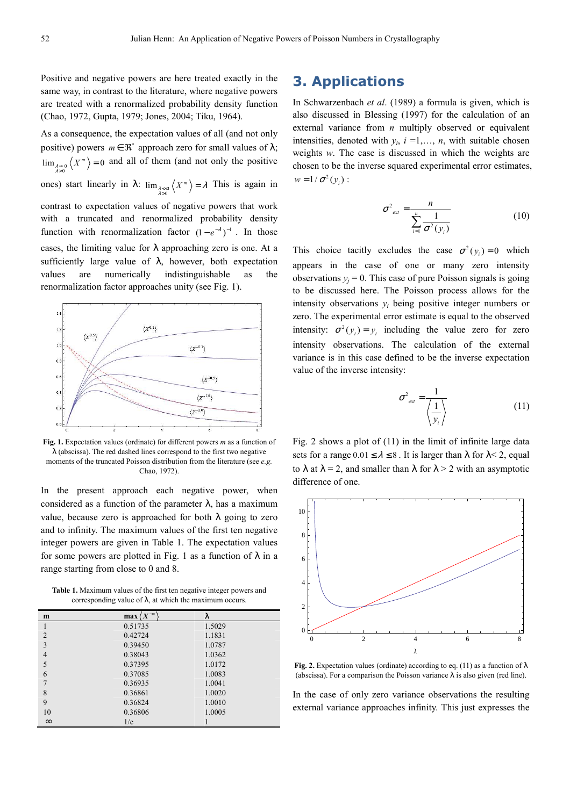Positive and negative powers are here treated exactly in the same way, in contrast to the literature, where negative powers are treated with a renormalized probability density function (Chao, 1972, Gupta, 1979; Jones, 2004; Tiku, 1964).

As a consequence, the expectation values of all (and not only positive) powers  $m \in \mathbb{R}^*$  approach zero for small values of  $\lambda$ ;  $\lim_{\substack{\lambda \to 0 \\ \lambda > 0}} \langle X^m \rangle = 0$  and all of them (and not only the positive ones) start linearly in  $\lambda$ :  $\lim_{\substack{\lambda \leq x \\ \lambda > 0}} \langle X^m \rangle = \lambda$  This is again in contrast to expectation values of negative powers that work with a truncated and renormalized probability density function with renormalization factor  $(1 - e^{-\lambda})^{-1}$ . In those cases, the limiting value for  $\lambda$  approaching zero is one. At a sufficiently large value of  $\lambda$ , however, both expectation values are numerically indistinguishable as the renormalization factor approaches unity (see Fig. 1).



**Fig. 1.** Expectation values (ordinate) for different powers *m* as a function of  $\lambda$  (abscissa). The red dashed lines correspond to the first two negative moments of the truncated Poisson distribution from the literature (see *e.g.* Chao, 1972).

In the present approach each negative power, when considered as a function of the parameter  $\lambda$ , has a maximum value, because zero is approached for both  $\lambda$  going to zero and to infinity. The maximum values of the first ten negative integer powers are given in Table 1. The expectation values for some powers are plotted in Fig. 1 as a function of  $\lambda$  in a range starting from close to 0 and 8.

**Table 1.** Maximum values of the first ten negative integer powers and corresponding value of  $\lambda$ , at which the maximum occurs.

| m              | $\max \langle X^{-m}$ | λ      |
|----------------|-----------------------|--------|
|                | 0.51735               | 1.5029 |
| $\overline{2}$ | 0.42724               | 1.1831 |
| 3              | 0.39450               | 1.0787 |
| $\overline{4}$ | 0.38043               | 1.0362 |
| 5              | 0.37395               | 1.0172 |
| 6              | 0.37085               | 1.0083 |
|                | 0.36935               | 1.0041 |
| 8              | 0.36861               | 1.0020 |
| 9              | 0.36824               | 1.0010 |
| 10             | 0.36806               | 1.0005 |
| $\infty$       | 1/e                   |        |

## **3. Applications**

In Schwarzenbach *et al*. (1989) a formula is given, which is also discussed in Blessing (1997) for the calculation of an external variance from *n* multiply observed or equivalent intensities, denoted with  $y_i$ ,  $i = 1,..., n$ , with suitable chosen weights *w*. The case is discussed in which the weights are chosen to be the inverse squared experimental error estimates,  $w = 1 / \sigma^2(y_i)$ :

$$
\sigma^2_{ext} = \frac{n}{\sum_{i=1}^n \frac{1}{\sigma^2(y_i)}}\tag{10}
$$

This choice tacitly excludes the case  $\sigma^2(y_i) = 0$  which appears in the case of one or many zero intensity observations  $y_j = 0$ . This case of pure Poisson signals is going to be discussed here. The Poisson process allows for the intensity observations  $y_i$  being positive integer numbers or zero. The experimental error estimate is equal to the observed intensity:  $\sigma^2(y_i) = y_i$  including the value zero for zero intensity observations. The calculation of the external variance is in this case defined to be the inverse expectation value of the inverse intensity:

$$
\sigma^2_{\text{ext}} = \frac{1}{\left\langle \frac{1}{y_i} \right\rangle} \tag{11}
$$

Fig. 2 shows a plot of (11) in the limit of infinite large data sets for a range  $0.01 \le \lambda \le 8$ . It is larger than  $\lambda$  for  $\lambda < 2$ , equal to  $\lambda$  at  $\lambda = 2$ , and smaller than  $\lambda$  for  $\lambda > 2$  with an asymptotic difference of one.



**Fig. 2.** Expectation values (ordinate) according to eq. (11) as a function of  $\lambda$ (abscissa). For a comparison the Poisson variance  $\lambda$  is also given (red line).

In the case of only zero variance observations the resulting external variance approaches infinity. This just expresses the